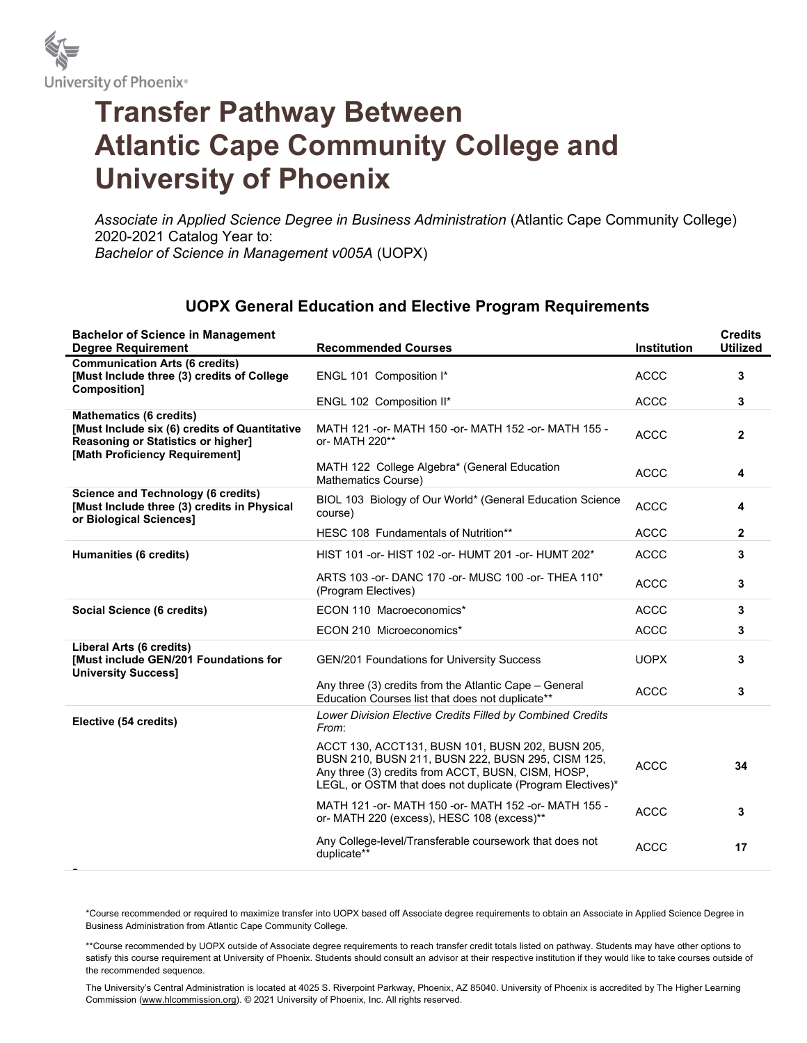

## Transfer Pathway Between Atlantic Cape Community College and University of Phoenix

Associate in Applied Science Degree in Business Administration (Atlantic Cape Community College) 2020-2021 Catalog Year to: Bachelor of Science in Management v005A (UOPX)

## UOPX General Education and Elective Program Requirements

| <b>Bachelor of Science in Management</b><br><b>Degree Requirement</b>                                                                                   | <b>Recommended Courses</b>                                                                                                                                                                                                | <b>Institution</b> | <b>Credits</b><br><b>Utilized</b> |
|---------------------------------------------------------------------------------------------------------------------------------------------------------|---------------------------------------------------------------------------------------------------------------------------------------------------------------------------------------------------------------------------|--------------------|-----------------------------------|
| <b>Communication Arts (6 credits)</b><br>[Must Include three (3) credits of College<br>Composition]                                                     | ENGL 101 Composition I*                                                                                                                                                                                                   | <b>ACCC</b>        | 3                                 |
|                                                                                                                                                         | ENGL 102 Composition II*                                                                                                                                                                                                  | <b>ACCC</b>        | 3                                 |
| <b>Mathematics (6 credits)</b><br>[Must Include six (6) credits of Quantitative<br>Reasoning or Statistics or higher]<br>[Math Proficiency Requirement] | MATH 121 - or - MATH 150 - or - MATH 152 - or - MATH 155 -<br>or- MATH 220**                                                                                                                                              | <b>ACCC</b>        | $\overline{2}$                    |
|                                                                                                                                                         | MATH 122 College Algebra* (General Education<br>Mathematics Course)                                                                                                                                                       | <b>ACCC</b>        | 4                                 |
| <b>Science and Technology (6 credits)</b><br>[Must Include three (3) credits in Physical<br>or Biological Sciences]                                     | BIOL 103 Biology of Our World* (General Education Science<br>course)                                                                                                                                                      | <b>ACCC</b>        | 4                                 |
|                                                                                                                                                         | HESC 108 Fundamentals of Nutrition**                                                                                                                                                                                      | <b>ACCC</b>        | $\mathbf{2}$                      |
| <b>Humanities (6 credits)</b>                                                                                                                           | HIST 101 -or- HIST 102 -or- HUMT 201 -or- HUMT 202*                                                                                                                                                                       | <b>ACCC</b>        | 3                                 |
|                                                                                                                                                         | ARTS 103 - or - DANC 170 - or - MUSC 100 - or - THEA 110*<br>(Program Electives)                                                                                                                                          | <b>ACCC</b>        | 3                                 |
| Social Science (6 credits)                                                                                                                              | ECON 110 Macroeconomics*                                                                                                                                                                                                  | <b>ACCC</b>        | 3                                 |
|                                                                                                                                                         | ECON 210 Microeconomics*                                                                                                                                                                                                  | <b>ACCC</b>        | 3                                 |
| <b>Liberal Arts (6 credits)</b><br>[Must include GEN/201 Foundations for<br><b>University Success]</b>                                                  | GEN/201 Foundations for University Success                                                                                                                                                                                | <b>UOPX</b>        | 3                                 |
|                                                                                                                                                         | Any three (3) credits from the Atlantic Cape – General<br>Education Courses list that does not duplicate**                                                                                                                | <b>ACCC</b>        | 3                                 |
| Elective (54 credits)                                                                                                                                   | Lower Division Elective Credits Filled by Combined Credits<br>From:                                                                                                                                                       |                    |                                   |
|                                                                                                                                                         | ACCT 130, ACCT131, BUSN 101, BUSN 202, BUSN 205,<br>BUSN 210, BUSN 211, BUSN 222, BUSN 295, CISM 125,<br>Any three (3) credits from ACCT, BUSN, CISM, HOSP,<br>LEGL, or OSTM that does not duplicate (Program Electives)* | <b>ACCC</b>        | 34                                |
|                                                                                                                                                         | MATH 121 -or- MATH 150 -or- MATH 152 -or- MATH 155 -<br>or- MATH 220 (excess), HESC 108 (excess)**                                                                                                                        | <b>ACCC</b>        | 3                                 |
|                                                                                                                                                         | Any College-level/Transferable coursework that does not<br>duplicate**                                                                                                                                                    | <b>ACCC</b>        | 17                                |

\*Course recommended or required to maximize transfer into UOPX based off Associate degree requirements to obtain an Associate in Applied Science Degree in Business Administration from Atlantic Cape Community College.

\*\*Course recommended by UOPX outside of Associate degree requirements to reach transfer credit totals listed on pathway. Students may have other options to satisfy this course requirement at University of Phoenix. Students should consult an advisor at their respective institution if they would like to take courses outside of the recommended sequence.

The University's Central Administration is located at 4025 S. Riverpoint Parkway, Phoenix, AZ 85040. University of Phoenix is accredited by The Higher Learning Commission (www.hlcommission.org). © 2021 University of Phoenix, Inc. All rights reserved.